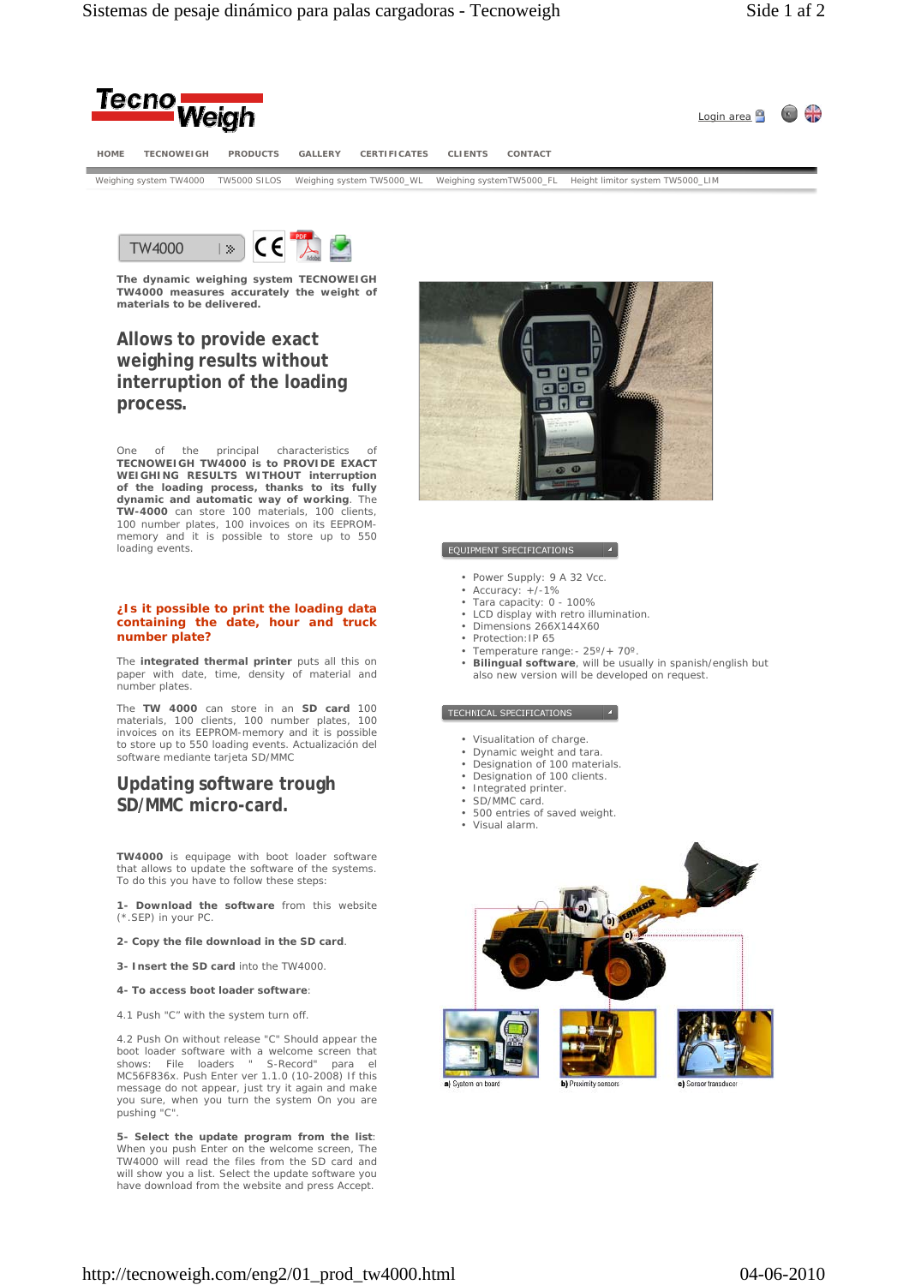



**The dynamic weighing system TECNOWEIGH TW4000 measures accurately the weight of materials to be delivered.**

# **Allows to provide exact weighing results without interruption of the loading process.**

One of the principal characteristics of **TECNOWEIGH TW4000 is to PROVIDE EXACT WEIGHING RESULTS WITHOUT interruption of the loading process, thanks to its fully dynamic and automatic way of working**. The **TW-4000** can store 100 materials, 100 clients, 100 number plates, 100 invoices on its EEPROM-memory and it is possible to store up to 550 loading events.

### **¿Is it possible to print the loading data containing the date, hour and truck number plate?**

The **integrated thermal printer** puts all this on paper with date, time, density of material and number plates.

The **TW 4000** can store in an **SD card** 100 materials, 100 clients, 100 number plates, 100 invoices on its EEPROM-memory and it is possible to store up to 550 loading events. Actualización del software mediante tarjeta SD/MMC

# **Updating software trough SD/MMC micro-card.**

**TW4000** is equipage with boot loader software that allows to update the software of the systems. To do this you have to follow these steps:

**1- Download the software** from this website (\*.SEP) in your PC.

**2- Copy the file download in the SD card**.

**3- Insert the SD card** into the TW4000.

#### **4- To access boot loader software**:

4.1 Push "C" with the system turn off.

4.2 Push On without release "C" Should appear the boot loader software with a welcome screen that shows: File loaders " S-Record" para el MC56F836x. Push Enter ver 1.1.0 (10-2008) If this message do not appear, just try it again and make you sure, when you turn the system On you are pushing "C".

**5- Select the update program from the list**: When you push Enter on the welcome screen, The TW4000 will read the files from the SD card and will show you a list. Select the update software you have download from the website and press Accept.



#### EQUIPMENT SPECIFICATIONS

- Power Supply: 9 A 32 Vcc.
- Accuracy: +/-1%
- Tara capacity: 0 100%
- LCD display with retro illumination. • Dimensions 266X144X60
- Protection: IP 65
- Temperature range:- 25º/+ 70º.
- **Bilingual software**, will be usually in spanish/english but also new version will be developed on request.

## TECHNICAL SPECIFICATIONS 4

- Visualitation of charge.
- Dynamic weight and tara.
- Designation of 100 materials.
- **Designation of 100 clients.**
- Integrated printer.
- SD/MMC card.
- 500 entries of saved weight. • Visual alarm.
-